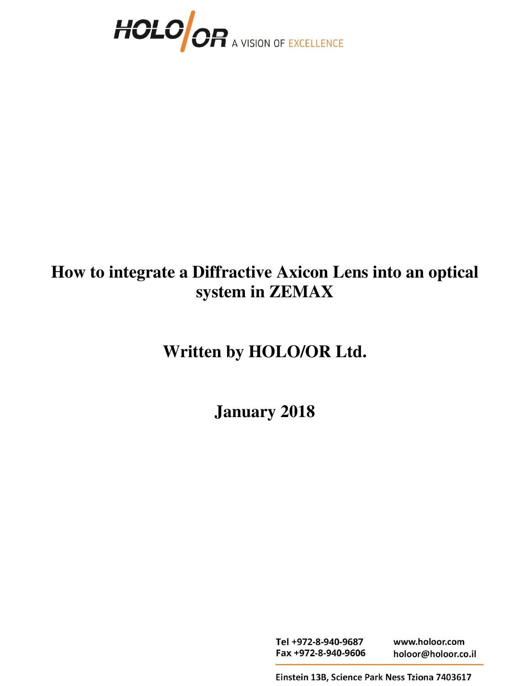

# **How to integrate a Diffractive Axicon Lens into an optical system in ZEMAX**

# **Written by HOLO/OR Ltd.**

**January 2018** 

Tel +972-8-940-9687 www.holoor.com Fax +972-8-940-9606 holoor@holoor.co.il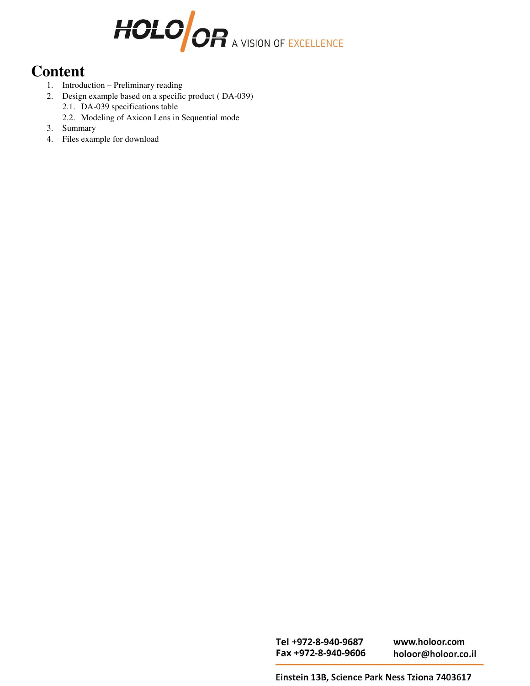

# **Content**

- 1. Introduction Preliminary reading
- 2. Design example based on a specific product ( DA-039) 2.1. DA-039 specifications table
	- 2.2. Modeling of Axicon Lens in Sequential mode
- 3. Summary
- 4. Files example for download

Tel +972-8-940-9687 Fax +972-8-940-9606

www.holoor.com holoor@holoor.co.il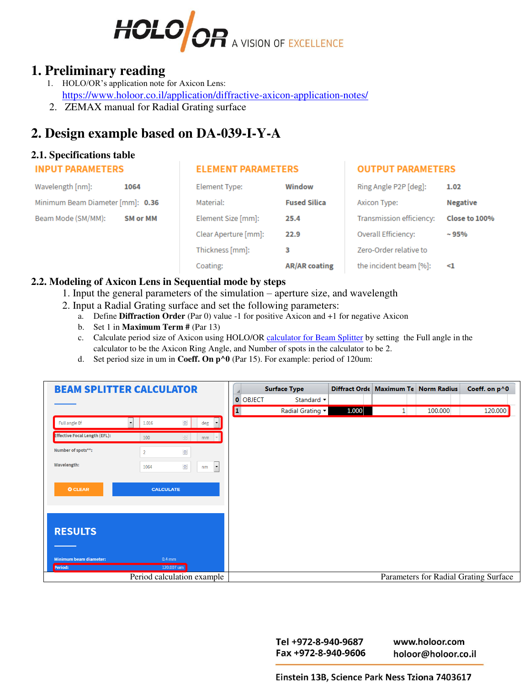

# **1. Preliminary reading**

- 1. HOLO/OR's application note for Axicon Lens: https://www.holoor.co.il/application/diffractive-axicon-application-notes/
- 2.ZEMAX manual for Radial Grating surface

# **2. Design example based on DA-039-I-Y-A**

#### **2.1. Specifications table**

#### **INPUT PARAMETERS**

#### **ELEMENT PARAMETERS**

### **OUTPUT PARAMETERS**

| Wavelength [nm]:                 | 1064            | Element Type:        | Window               | Ring Angle P2P [deg]:    | 1.02            |
|----------------------------------|-----------------|----------------------|----------------------|--------------------------|-----------------|
| Minimum Beam Diameter [mm]: 0.36 |                 | Material:            | <b>Fused Silica</b>  |                          | <b>Negative</b> |
| Beam Mode (SM/MM):               | <b>SM or MM</b> | Element Size [mm]:   | 25.4                 | Transmission efficiency: | Close to 100%   |
|                                  |                 | Clear Aperture [mm]: | 22.9                 | Overall Efficiency:      | $~1 - 95%$      |
|                                  |                 | Thickness [mm]:      | 3                    | Zero-Order relative to   |                 |
|                                  |                 | Coating:             | <b>AR/AR coating</b> | the incident beam [%]:   | $\leq$ 1        |
|                                  |                 |                      |                      |                          |                 |

#### **2.2. Modeling of Axicon Lens in Sequential mode by steps**

- 1. Input the general parameters of the simulation aperture size, and wavelength
- 2. Input a Radial Grating surface and set the following parameters:
	- a. Define **[Diffraction](http://www.zemax.com/os/resource-center/learn/knowledgebase/what-is-the-normalization-radius) Order** (Par 0) value -1 for positive Axicon and +1 for negative Axicon
	- b. Set 1 in **Maximum Term #** (Par 13)
	- c. Calculate period size of Axicon using HOLO/OR [calculator for Beam Splitter](https://www.holoor.co.il/optical-calculator/multi-spot-beam-splitters/) by setting the Full angle in the calculator to be the Axicon Ring Angle, and Number of spots in the calculator to be 2.
	- d. Set period size in um in **Coeff. On p^0** (Par 15). For example: period of 120um:

| <b>BEAM SPLITTER CALCULATOR</b>          |                                                                 |                 | <b>Surface Type</b>                   |       |  | Diffract Orde   Maximum Te   Norm Radius | Coeff. on p^0 |
|------------------------------------------|-----------------------------------------------------------------|-----------------|---------------------------------------|-------|--|------------------------------------------|---------------|
|                                          |                                                                 | <b>0 OBJECT</b> | Standard v                            |       |  |                                          |               |
|                                          |                                                                 | р.              | Radial Grating $\blacktriangledown$   | 1.000 |  | 100.000                                  | 120.000       |
| Full angle Of                            | $\vert$ $\vert$<br>$\div$<br>1.016<br>deg                       |                 |                                       |       |  |                                          |               |
| Effective Focal Length (EFL):            | $\frac{\mathbb{A}}{\mathbf{v}}$<br>100<br>$mm$ $\sim$           |                 |                                       |       |  |                                          |               |
| Number of spots**:                       | $\frac{\Delta}{\Psi}$<br>$\overline{2}$                         |                 |                                       |       |  |                                          |               |
| <b>Wavelength:</b>                       | $\frac{\Delta}{\Psi}$<br>$\overline{\phantom{a}}$<br>1064<br>nm |                 |                                       |       |  |                                          |               |
| <b>O CLEAR</b><br><b>CALCULATE</b>       |                                                                 |                 |                                       |       |  |                                          |               |
| <b>RESULTS</b>                           |                                                                 |                 |                                       |       |  |                                          |               |
| <b>Minimum beam diameter:</b><br>Period: | $0.4$ mm<br>120.007 um                                          |                 |                                       |       |  |                                          |               |
| Period calculation example               |                                                                 |                 | Parameters for Radial Grating Surface |       |  |                                          |               |

Tel +972-8-940-9687 Fax +972-8-940-9606

www.holoor.com holoor@holoor.co.il